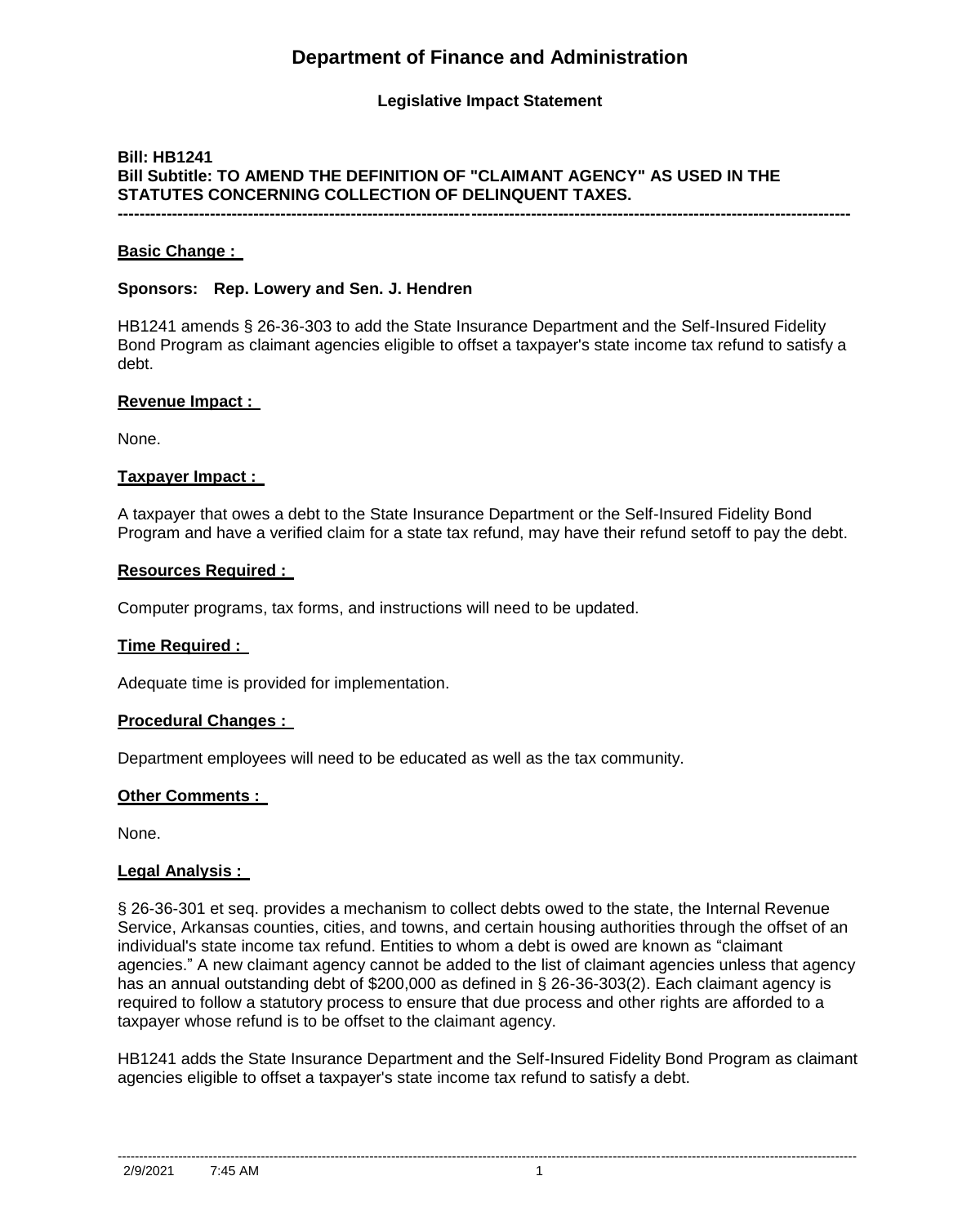# **Department of Finance and Administration**

### **Legislative Impact Statement**

### **Bill: HB1241 Bill Subtitle: TO AMEND THE DEFINITION OF "CLAIMANT AGENCY" AS USED IN THE STATUTES CONCERNING COLLECTION OF DELINQUENT TAXES. ---------------------------------------------------------------------------------------------------------------------------------------**

#### **Basic Change :**

#### **Sponsors: Rep. Lowery and Sen. J. Hendren**

HB1241 amends § 26-36-303 to add the State Insurance Department and the Self-Insured Fidelity Bond Program as claimant agencies eligible to offset a taxpayer's state income tax refund to satisfy a debt.

#### **Revenue Impact :**

None.

#### **Taxpayer Impact :**

A taxpayer that owes a debt to the State Insurance Department or the Self-Insured Fidelity Bond Program and have a verified claim for a state tax refund, may have their refund setoff to pay the debt.

#### **Resources Required :**

Computer programs, tax forms, and instructions will need to be updated.

#### **Time Required :**

Adequate time is provided for implementation.

#### **Procedural Changes :**

Department employees will need to be educated as well as the tax community.

#### **Other Comments :**

None.

#### **Legal Analysis :**

§ 26-36-301 et seq. provides a mechanism to collect debts owed to the state, the Internal Revenue Service, Arkansas counties, cities, and towns, and certain housing authorities through the offset of an individual's state income tax refund. Entities to whom a debt is owed are known as "claimant agencies." A new claimant agency cannot be added to the list of claimant agencies unless that agency has an annual outstanding debt of \$200,000 as defined in § 26-36-303(2). Each claimant agency is required to follow a statutory process to ensure that due process and other rights are afforded to a taxpayer whose refund is to be offset to the claimant agency.

HB1241 adds the State Insurance Department and the Self-Insured Fidelity Bond Program as claimant agencies eligible to offset a taxpayer's state income tax refund to satisfy a debt.